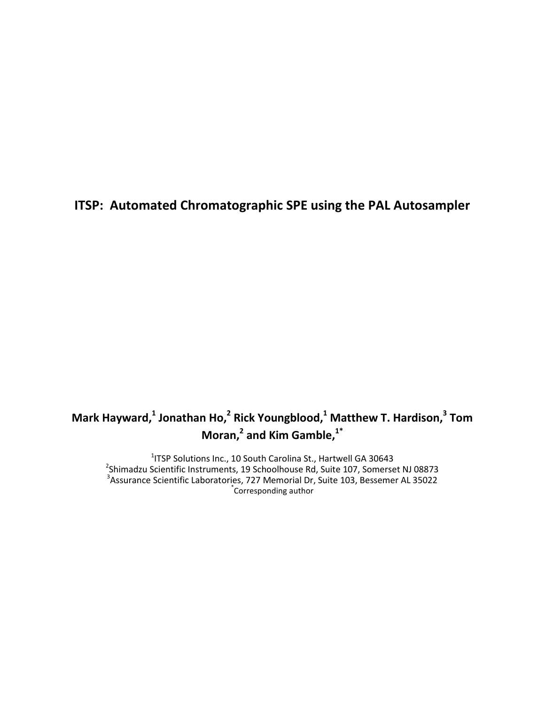# **ITSP: Automated Chromatographic SPE using the PAL Autosampler**

# **Mark Hayward,<sup>1</sup> Jonathan Ho,<sup>2</sup> Rick Youngblood,<sup>1</sup> Matthew T. Hardison,<sup>3</sup> Tom Moran,<sup>2</sup> and Kim Gamble,1\***

<sup>1</sup>ITSP Solutions Inc., 10 South Carolina St., Hartwell GA 30643<sup>2</sup>Shimadzu Scientific Instruments, 19 Schoolhouse Rd, Suite 107, Somerset NJ 08873 3 Assurance Scientific Laboratories, 727 Memorial Dr, Suite 103, Bessemer AL 35022 \* Corresponding author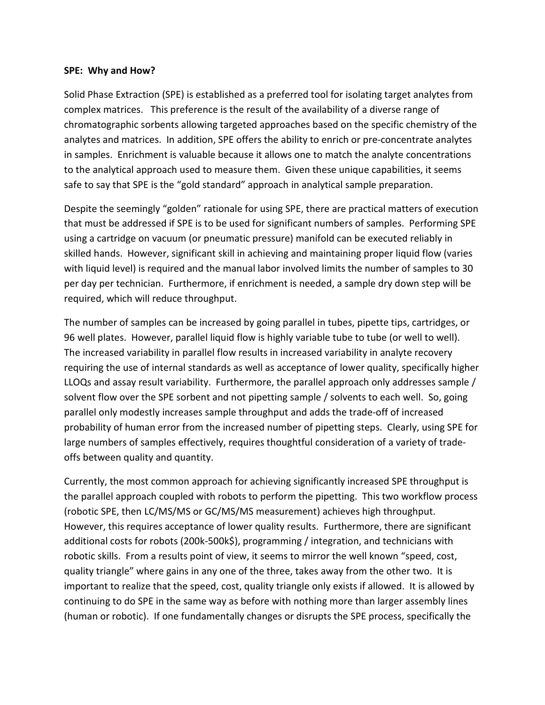#### **SPE: Why and How?**

Solid Phase Extraction (SPE) is established as a preferred tool for isolating target analytes from complex matrices. This preference is the result of the availability of a diverse range of chromatographic sorbents allowing targeted approaches based on the specific chemistry of the analytes and matrices. In addition, SPE offers the ability to enrich or pre-concentrate analytes in samples. Enrichment is valuable because it allows one to match the analyte concentrations to the analytical approach used to measure them. Given these unique capabilities, it seems safe to say that SPE is the "gold standard" approach in analytical sample preparation.

Despite the seemingly "golden" rationale for using SPE, there are practical matters of execution that must be addressed if SPE is to be used for significant numbers of samples. Performing SPE using a cartridge on vacuum (or pneumatic pressure) manifold can be executed reliably in skilled hands. However, significant skill in achieving and maintaining proper liquid flow (varies with liquid level) is required and the manual labor involved limits the number of samples to 30 per day per technician. Furthermore, if enrichment is needed, a sample dry down step will be required, which will reduce throughput.

The number of samples can be increased by going parallel in tubes, pipette tips, cartridges, or 96 well plates. However, parallel liquid flow is highly variable tube to tube (or well to well). The increased variability in parallel flow results in increased variability in analyte recovery requiring the use of internal standards as well as acceptance of lower quality, specifically higher LLOQs and assay result variability. Furthermore, the parallel approach only addresses sample / solvent flow over the SPE sorbent and not pipetting sample / solvents to each well. So, going parallel only modestly increases sample throughput and adds the trade-off of increased probability of human error from the increased number of pipetting steps. Clearly, using SPE for large numbers of samples effectively, requires thoughtful consideration of a variety of tradeoffs between quality and quantity.

Currently, the most common approach for achieving significantly increased SPE throughput is the parallel approach coupled with robots to perform the pipetting. This two workflow process (robotic SPE, then LC/MS/MS or GC/MS/MS measurement) achieves high throughput. However, this requires acceptance of lower quality results. Furthermore, there are significant additional costs for robots (200k-500k\$), programming / integration, and technicians with robotic skills. From a results point of view, it seems to mirror the well known "speed, cost, quality triangle" where gains in any one of the three, takes away from the other two. It is important to realize that the speed, cost, quality triangle only exists if allowed. It is allowed by continuing to do SPE in the same way as before with nothing more than larger assembly lines (human or robotic). If one fundamentally changes or disrupts the SPE process, specifically the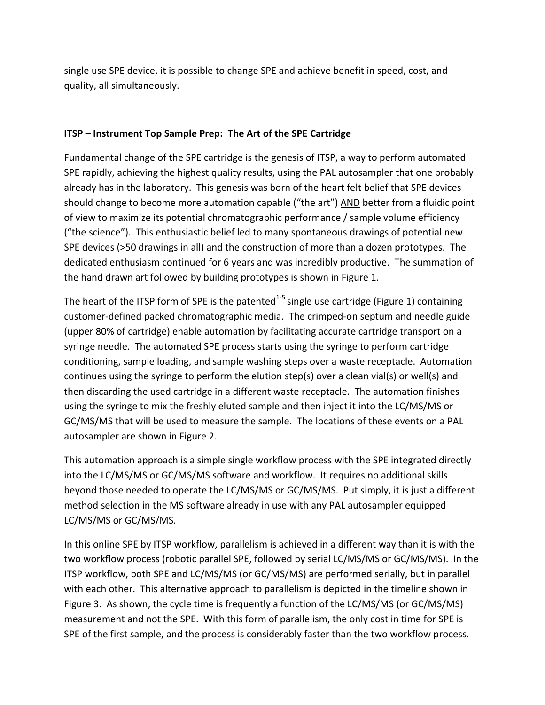single use SPE device, it is possible to change SPE and achieve benefit in speed, cost, and quality, all simultaneously.

### **ITSP – Instrument Top Sample Prep: The Art of the SPE Cartridge**

Fundamental change of the SPE cartridge is the genesis of ITSP, a way to perform automated SPE rapidly, achieving the highest quality results, using the PAL autosampler that one probably already has in the laboratory. This genesis was born of the heart felt belief that SPE devices should change to become more automation capable ("the art") AND better from a fluidic point of view to maximize its potential chromatographic performance / sample volume efficiency ("the science"). This enthusiastic belief led to many spontaneous drawings of potential new SPE devices (>50 drawings in all) and the construction of more than a dozen prototypes. The dedicated enthusiasm continued for 6 years and was incredibly productive. The summation of the hand drawn art followed by building prototypes is shown in Figure 1.

The heart of the ITSP form of SPE is the patented<sup>1-5</sup> single use cartridge (Figure 1) containing customer-defined packed chromatographic media. The crimped-on septum and needle guide (upper 80% of cartridge) enable automation by facilitating accurate cartridge transport on a syringe needle. The automated SPE process starts using the syringe to perform cartridge conditioning, sample loading, and sample washing steps over a waste receptacle. Automation continues using the syringe to perform the elution step(s) over a clean vial(s) or well(s) and then discarding the used cartridge in a different waste receptacle. The automation finishes using the syringe to mix the freshly eluted sample and then inject it into the LC/MS/MS or GC/MS/MS that will be used to measure the sample. The locations of these events on a PAL autosampler are shown in Figure 2.

This automation approach is a simple single workflow process with the SPE integrated directly into the LC/MS/MS or GC/MS/MS software and workflow. It requires no additional skills beyond those needed to operate the LC/MS/MS or GC/MS/MS. Put simply, it is just a different method selection in the MS software already in use with any PAL autosampler equipped LC/MS/MS or GC/MS/MS.

In this online SPE by ITSP workflow, parallelism is achieved in a different way than it is with the two workflow process (robotic parallel SPE, followed by serial LC/MS/MS or GC/MS/MS). In the ITSP workflow, both SPE and LC/MS/MS (or GC/MS/MS) are performed serially, but in parallel with each other. This alternative approach to parallelism is depicted in the timeline shown in Figure 3. As shown, the cycle time is frequently a function of the LC/MS/MS (or GC/MS/MS) measurement and not the SPE. With this form of parallelism, the only cost in time for SPE is SPE of the first sample, and the process is considerably faster than the two workflow process.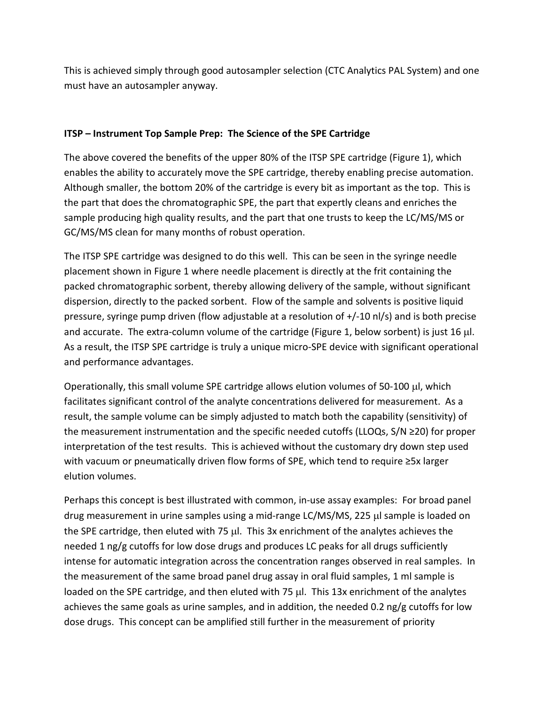This is achieved simply through good autosampler selection (CTC Analytics PAL System) and one must have an autosampler anyway.

## **ITSP – Instrument Top Sample Prep: The Science of the SPE Cartridge**

The above covered the benefits of the upper 80% of the ITSP SPE cartridge (Figure 1), which enables the ability to accurately move the SPE cartridge, thereby enabling precise automation. Although smaller, the bottom 20% of the cartridge is every bit as important as the top. This is the part that does the chromatographic SPE, the part that expertly cleans and enriches the sample producing high quality results, and the part that one trusts to keep the LC/MS/MS or GC/MS/MS clean for many months of robust operation.

The ITSP SPE cartridge was designed to do this well. This can be seen in the syringe needle placement shown in Figure 1 where needle placement is directly at the frit containing the packed chromatographic sorbent, thereby allowing delivery of the sample, without significant dispersion, directly to the packed sorbent. Flow of the sample and solvents is positive liquid pressure, syringe pump driven (flow adjustable at a resolution of +/-10 nl/s) and is both precise and accurate. The extra-column volume of the cartridge (Figure 1, below sorbent) is just 16  $\mu$ l. As a result, the ITSP SPE cartridge is truly a unique micro-SPE device with significant operational and performance advantages.

Operationally, this small volume SPE cartridge allows elution volumes of 50-100 µl, which facilitates significant control of the analyte concentrations delivered for measurement. As a result, the sample volume can be simply adjusted to match both the capability (sensitivity) of the measurement instrumentation and the specific needed cutoffs (LLOQs, S/N ≥20) for proper interpretation of the test results. This is achieved without the customary dry down step used with vacuum or pneumatically driven flow forms of SPE, which tend to require ≥5x larger elution volumes.

Perhaps this concept is best illustrated with common, in-use assay examples: For broad panel drug measurement in urine samples using a mid-range LC/MS/MS, 225 µl sample is loaded on the SPE cartridge, then eluted with 75 µl. This 3x enrichment of the analytes achieves the needed 1 ng/g cutoffs for low dose drugs and produces LC peaks for all drugs sufficiently intense for automatic integration across the concentration ranges observed in real samples. In the measurement of the same broad panel drug assay in oral fluid samples, 1 ml sample is loaded on the SPE cartridge, and then eluted with 75 µl. This 13x enrichment of the analytes achieves the same goals as urine samples, and in addition, the needed 0.2 ng/g cutoffs for low dose drugs. This concept can be amplified still further in the measurement of priority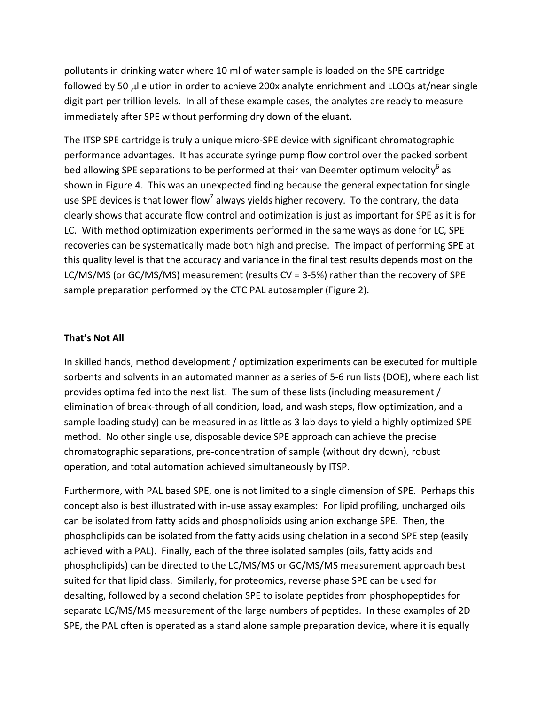pollutants in drinking water where 10 ml of water sample is loaded on the SPE cartridge followed by 50 µl elution in order to achieve 200x analyte enrichment and LLOQs at/near single digit part per trillion levels. In all of these example cases, the analytes are ready to measure immediately after SPE without performing dry down of the eluant.

The ITSP SPE cartridge is truly a unique micro-SPE device with significant chromatographic performance advantages. It has accurate syringe pump flow control over the packed sorbent bed allowing SPE separations to be performed at their van Deemter optimum velocity<sup>6</sup> as shown in Figure 4. This was an unexpected finding because the general expectation for single use SPE devices is that lower flow<sup>7</sup> always yields higher recovery. To the contrary, the data clearly shows that accurate flow control and optimization is just as important for SPE as it is for LC. With method optimization experiments performed in the same ways as done for LC, SPE recoveries can be systematically made both high and precise. The impact of performing SPE at this quality level is that the accuracy and variance in the final test results depends most on the LC/MS/MS (or GC/MS/MS) measurement (results CV = 3-5%) rather than the recovery of SPE sample preparation performed by the CTC PAL autosampler (Figure 2).

#### **That's Not All**

In skilled hands, method development / optimization experiments can be executed for multiple sorbents and solvents in an automated manner as a series of 5-6 run lists (DOE), where each list provides optima fed into the next list. The sum of these lists (including measurement / elimination of break-through of all condition, load, and wash steps, flow optimization, and a sample loading study) can be measured in as little as 3 lab days to yield a highly optimized SPE method. No other single use, disposable device SPE approach can achieve the precise chromatographic separations, pre-concentration of sample (without dry down), robust operation, and total automation achieved simultaneously by ITSP.

Furthermore, with PAL based SPE, one is not limited to a single dimension of SPE. Perhaps this concept also is best illustrated with in-use assay examples: For lipid profiling, uncharged oils can be isolated from fatty acids and phospholipids using anion exchange SPE. Then, the phospholipids can be isolated from the fatty acids using chelation in a second SPE step (easily achieved with a PAL). Finally, each of the three isolated samples (oils, fatty acids and phospholipids) can be directed to the LC/MS/MS or GC/MS/MS measurement approach best suited for that lipid class. Similarly, for proteomics, reverse phase SPE can be used for desalting, followed by a second chelation SPE to isolate peptides from phosphopeptides for separate LC/MS/MS measurement of the large numbers of peptides. In these examples of 2D SPE, the PAL often is operated as a stand alone sample preparation device, where it is equally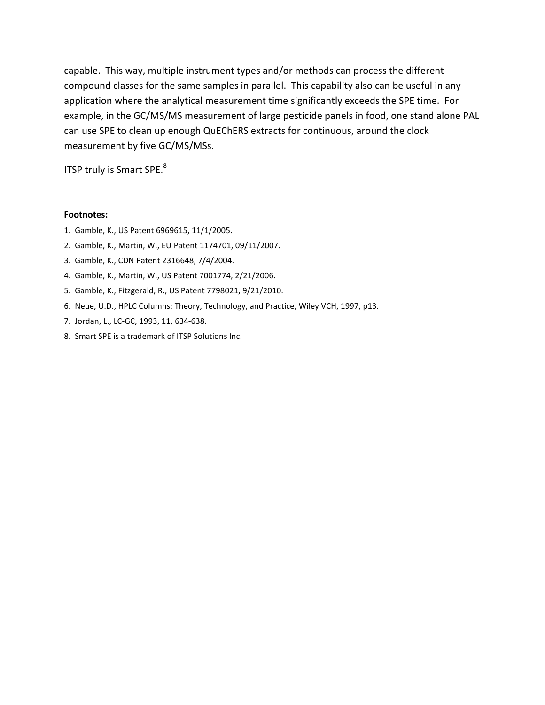capable. This way, multiple instrument types and/or methods can process the different compound classes for the same samples in parallel. This capability also can be useful in any application where the analytical measurement time significantly exceeds the SPE time. For example, in the GC/MS/MS measurement of large pesticide panels in food, one stand alone PAL can use SPE to clean up enough QuEChERS extracts for continuous, around the clock measurement by five GC/MS/MSs.

ITSP truly is Smart SPE.<sup>8</sup>

#### **Footnotes:**

- 1. Gamble, K., US Patent 6969615, 11/1/2005.
- 2. Gamble, K., Martin, W., EU Patent 1174701, 09/11/2007.
- 3. Gamble, K., CDN Patent 2316648, 7/4/2004.
- 4. Gamble, K., Martin, W., US Patent 7001774, 2/21/2006.
- 5. Gamble, K., Fitzgerald, R., US Patent 7798021, 9/21/2010.
- 6. Neue, U.D., HPLC Columns: Theory, Technology, and Practice, Wiley VCH, 1997, p13.
- 7. Jordan, L., LC-GC, 1993, 11, 634-638.
- 8. Smart SPE is a trademark of ITSP Solutions Inc.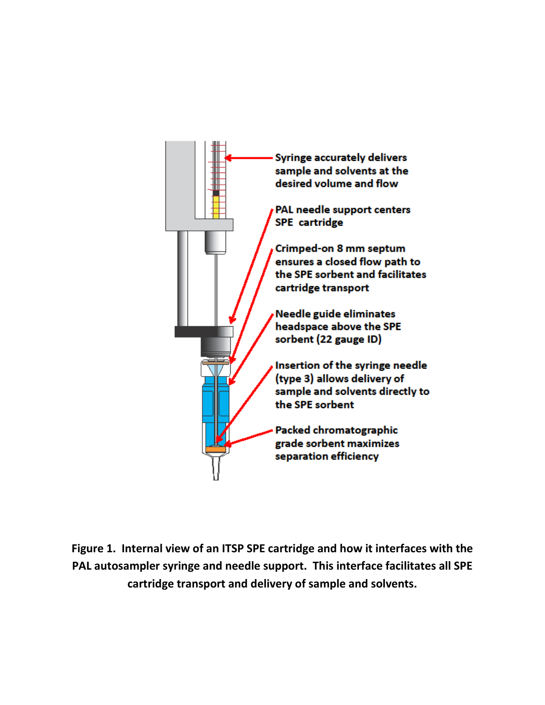

**Figure 1. Internal view of an ITSP SPE cartridge and how it interfaces with the PAL autosampler syringe and needle support. This interface facilitates all SPE cartridge transport and delivery of sample and solvents.**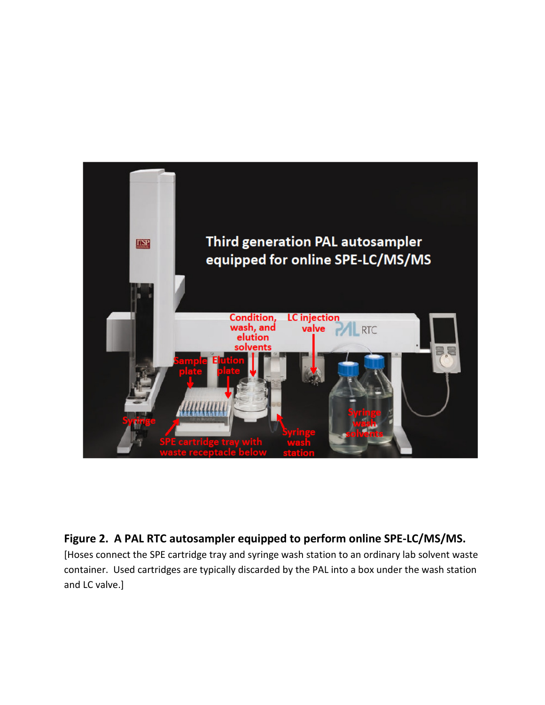

## **Figure 2. A PAL RTC autosampler equipped to perform online SPE-LC/MS/MS.**

[Hoses connect the SPE cartridge tray and syringe wash station to an ordinary lab solvent waste container. Used cartridges are typically discarded by the PAL into a box under the wash station and LC valve.]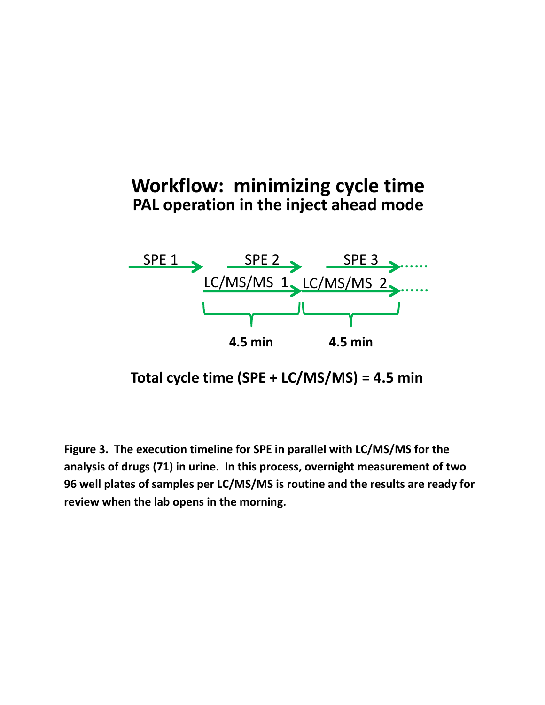# **Workflow: minimizing cycle time PAL operation in the inject ahead mode**



**Total cycle time (SPE + LC/MS/MS) = 4.5 min**

**Figure 3. The execution timeline for SPE in parallel with LC/MS/MS for the analysis of drugs (71) in urine. In this process, overnight measurement of two 96 well plates of samples per LC/MS/MS is routine and the results are ready for review when the lab opens in the morning.**